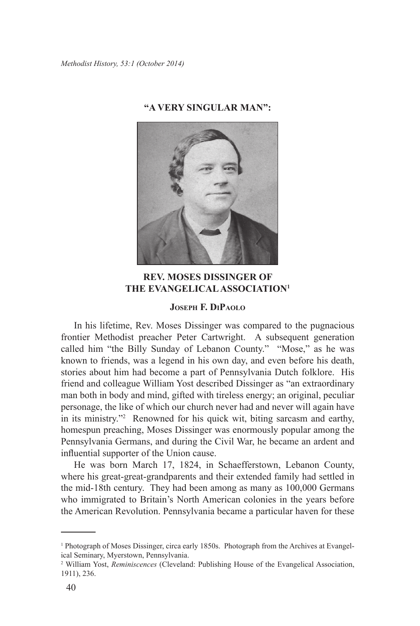*Methodist History, 53:1 (October 2014)*



## **"A VERY SINGULAR MAN":**

# **REV. MOSES DISSINGER OF THE EVANGELICAL ASSOCIATION1**

### **Joseph F. DiPaolo**

In his lifetime, Rev. Moses Dissinger was compared to the pugnacious frontier Methodist preacher Peter Cartwright. A subsequent generation called him "the Billy Sunday of Lebanon County." "Mose," as he was known to friends, was a legend in his own day, and even before his death, stories about him had become a part of Pennsylvania Dutch folklore. His friend and colleague William Yost described Dissinger as "an extraordinary man both in body and mind, gifted with tireless energy; an original, peculiar personage, the like of which our church never had and never will again have in its ministry."2 Renowned for his quick wit, biting sarcasm and earthy, homespun preaching, Moses Dissinger was enormously popular among the Pennsylvania Germans, and during the Civil War, he became an ardent and influential supporter of the Union cause.

He was born March 17, 1824, in Schaefferstown, Lebanon County, where his great-great-grandparents and their extended family had settled in the mid-18th century. They had been among as many as 100,000 Germans who immigrated to Britain's North American colonies in the years before the American Revolution. Pennsylvania became a particular haven for these

<sup>1</sup> Photograph of Moses Dissinger, circa early 1850s. Photograph from the Archives at Evangelical Seminary, Myerstown, Pennsylvania.

<sup>2</sup> William Yost, *Reminiscences* (Cleveland: Publishing House of the Evangelical Association, 1911), 236.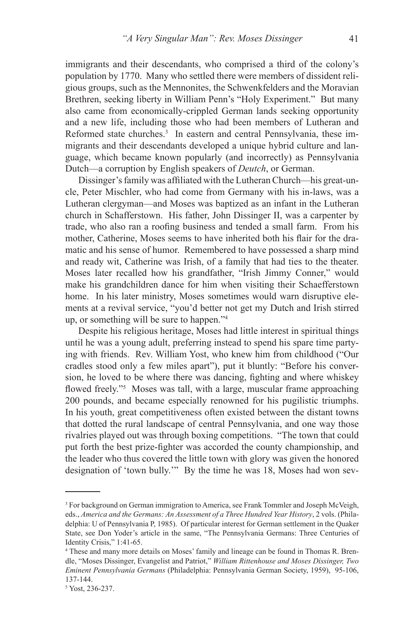immigrants and their descendants, who comprised a third of the colony's population by 1770. Many who settled there were members of dissident religious groups, such as the Mennonites, the Schwenkfelders and the Moravian Brethren, seeking liberty in William Penn's "Holy Experiment." But many also came from economically-crippled German lands seeking opportunity and a new life, including those who had been members of Lutheran and Reformed state churches.<sup>3</sup> In eastern and central Pennsylvania, these immigrants and their descendants developed a unique hybrid culture and language, which became known popularly (and incorrectly) as Pennsylvania Dutch—a corruption by English speakers of *Deutch*, or German.

Dissinger's family was affiliated with the Lutheran Church—his great-uncle, Peter Mischler, who had come from Germany with his in-laws, was a Lutheran clergyman—and Moses was baptized as an infant in the Lutheran church in Schafferstown. His father, John Dissinger II, was a carpenter by trade, who also ran a roofing business and tended a small farm. From his mother, Catherine, Moses seems to have inherited both his flair for the dramatic and his sense of humor. Remembered to have possessed a sharp mind and ready wit, Catherine was Irish, of a family that had ties to the theater. Moses later recalled how his grandfather, "Irish Jimmy Conner," would make his grandchildren dance for him when visiting their Schaefferstown home. In his later ministry, Moses sometimes would warn disruptive elements at a revival service, "you'd better not get my Dutch and Irish stirred up, or something will be sure to happen."4

Despite his religious heritage, Moses had little interest in spiritual things until he was a young adult, preferring instead to spend his spare time partying with friends. Rev. William Yost, who knew him from childhood ("Our cradles stood only a few miles apart"), put it bluntly: "Before his conversion, he loved to be where there was dancing, fighting and where whiskey flowed freely."<sup>5</sup> Moses was tall, with a large, muscular frame approaching 200 pounds, and became especially renowned for his pugilistic triumphs. In his youth, great competitiveness often existed between the distant towns that dotted the rural landscape of central Pennsylvania, and one way those rivalries played out was through boxing competitions. "The town that could put forth the best prize-fighter was accorded the county championship, and the leader who thus covered the little town with glory was given the honored designation of 'town bully.'" By the time he was 18, Moses had won sev-

<sup>&</sup>lt;sup>3</sup> For background on German immigration to America, see Frank Tommler and Joseph McVeigh, eds., *America and the Germans: An Assessment of a Three Hundred Year History*, 2 vols. (Philadelphia: U of Pennsylvania P, 1985). Of particular interest for German settlement in the Quaker State, see Don Yoder's article in the same, "The Pennsylvania Germans: Three Centuries of Identity Crisis," 1:41-65.

<sup>4</sup> These and many more details on Moses' family and lineage can be found in Thomas R. Brendle, "Moses Dissinger, Evangelist and Patriot," *William Rittenhouse and Moses Dissinger, Two Eminent Pennsylvania Germans* (Philadelphia: Pennsylvania German Society, 1959), 95-106, 137-144.

<sup>5</sup> Yost, 236-237.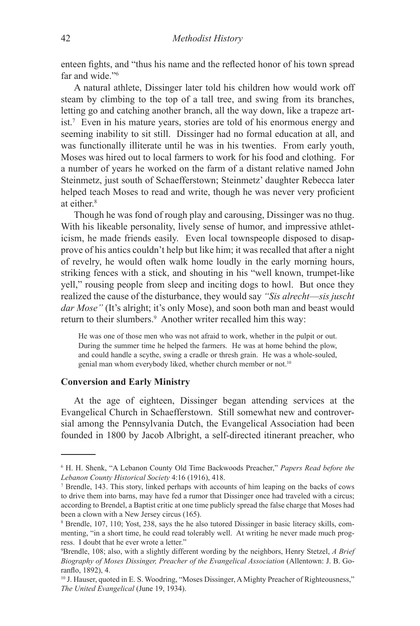enteen fights, and "thus his name and the reflected honor of his town spread far and wide."6

A natural athlete, Dissinger later told his children how would work off steam by climbing to the top of a tall tree, and swing from its branches, letting go and catching another branch, all the way down, like a trapeze artist.7 Even in his mature years, stories are told of his enormous energy and seeming inability to sit still. Dissinger had no formal education at all, and was functionally illiterate until he was in his twenties. From early youth, Moses was hired out to local farmers to work for his food and clothing. For a number of years he worked on the farm of a distant relative named John Steinmetz, just south of Schaefferstown; Steinmetz' daughter Rebecca later helped teach Moses to read and write, though he was never very proficient at either.<sup>8</sup>

Though he was fond of rough play and carousing, Dissinger was no thug. With his likeable personality, lively sense of humor, and impressive athleticism, he made friends easily. Even local townspeople disposed to disapprove of his antics couldn't help but like him; it was recalled that after a night of revelry, he would often walk home loudly in the early morning hours, striking fences with a stick, and shouting in his "well known, trumpet-like yell," rousing people from sleep and inciting dogs to howl. But once they realized the cause of the disturbance, they would say *"Sis alrecht*—*sis juscht dar Mose"* (It's alright; it's only Mose), and soon both man and beast would return to their slumbers.<sup>9</sup> Another writer recalled him this way:

He was one of those men who was not afraid to work, whether in the pulpit or out. During the summer time he helped the farmers. He was at home behind the plow, and could handle a scythe, swing a cradle or thresh grain. He was a whole-souled, genial man whom everybody liked, whether church member or not.<sup>10</sup>

## **Conversion and Early Ministry**

At the age of eighteen, Dissinger began attending services at the Evangelical Church in Schaefferstown. Still somewhat new and controversial among the Pennsylvania Dutch, the Evangelical Association had been founded in 1800 by Jacob Albright, a self-directed itinerant preacher, who

<sup>6</sup> H. H. Shenk, "A Lebanon County Old Time Backwoods Preacher," *Papers Read before the Lebanon County Historical Society* 4:16 (1916), 418. 7

Brendle, 143. This story, linked perhaps with accounts of him leaping on the backs of cows to drive them into barns, may have fed a rumor that Dissinger once had traveled with a circus; according to Brendel, a Baptist critic at one time publicly spread the false charge that Moses had been a clown with a New Jersey circus (165).

<sup>8</sup> Brendle, 107, 110; Yost, 238, says the he also tutored Dissinger in basic literacy skills, commenting, "in a short time, he could read tolerably well. At writing he never made much progress. I doubt that he ever wrote a letter."

<sup>9</sup> Brendle, 108; also, with a slightly different wording by the neighbors, Henry Stetzel, *A Brief Biography of Moses Dissinger, Preacher of the Evangelical Association* (Allentown: J. B. Goranflo, 1892), 4.

<sup>&</sup>lt;sup>10</sup> J. Hauser, quoted in E. S. Woodring, "Moses Dissinger, A Mighty Preacher of Righteousness," *The United Evangelical* (June 19, 1934).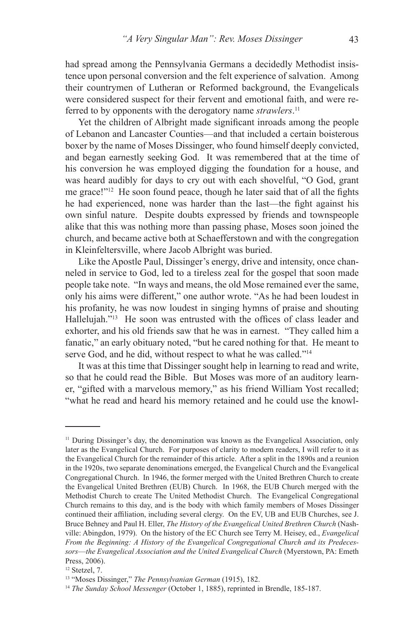had spread among the Pennsylvania Germans a decidedly Methodist insistence upon personal conversion and the felt experience of salvation. Among their countrymen of Lutheran or Reformed background, the Evangelicals were considered suspect for their fervent and emotional faith, and were referred to by opponents with the derogatory name *strawlers*. 11

Yet the children of Albright made significant inroads among the people of Lebanon and Lancaster Counties—and that included a certain boisterous boxer by the name of Moses Dissinger, who found himself deeply convicted, and began earnestly seeking God. It was remembered that at the time of his conversion he was employed digging the foundation for a house, and was heard audibly for days to cry out with each shovelful, "O God, grant me grace!"12 He soon found peace, though he later said that of all the fights he had experienced, none was harder than the last—the fight against his own sinful nature. Despite doubts expressed by friends and townspeople alike that this was nothing more than passing phase, Moses soon joined the church, and became active both at Schaefferstown and with the congregation in Kleinfeltersville, where Jacob Albright was buried.

Like the Apostle Paul, Dissinger's energy, drive and intensity, once channeled in service to God, led to a tireless zeal for the gospel that soon made people take note. "In ways and means, the old Mose remained ever the same, only his aims were different," one author wrote. "As he had been loudest in his profanity, he was now loudest in singing hymns of praise and shouting Hallelujah."<sup>13</sup> He soon was entrusted with the offices of class leader and exhorter, and his old friends saw that he was in earnest. "They called him a fanatic," an early obituary noted, "but he cared nothing for that. He meant to serve God, and he did, without respect to what he was called."14

It was at this time that Dissinger sought help in learning to read and write, so that he could read the Bible. But Moses was more of an auditory learner, "gifted with a marvelous memory," as his friend William Yost recalled; "what he read and heard his memory retained and he could use the knowl-

<sup>&</sup>lt;sup>11</sup> During Dissinger's day, the denomination was known as the Evangelical Association, only later as the Evangelical Church. For purposes of clarity to modern readers, I will refer to it as the Evangelical Church for the remainder of this article. After a split in the 1890s and a reunion in the 1920s, two separate denominations emerged, the Evangelical Church and the Evangelical Congregational Church. In 1946, the former merged with the United Brethren Church to create the Evangelical United Brethren (EUB) Church. In 1968, the EUB Church merged with the Methodist Church to create The United Methodist Church. The Evangelical Congregational Church remains to this day, and is the body with which family members of Moses Dissinger continued their affiliation, including several clergy. On the EV, UB and EUB Churches, see J. Bruce Behney and Paul H. Eller, *The History of the Evangelical United Brethren Church* (Nashville: Abingdon, 1979). On the history of the EC Church see Terry M. Heisey, ed., *Evangelical From the Beginning: A History of the Evangelical Congregational Church and its Predecessors*—*the Evangelical Association and the United Evangelical Church* (Myerstown, PA: Emeth Press, 2006).

<sup>12</sup> Stetzel, 7.

<sup>13 &</sup>quot;Moses Dissinger," *The Pennsylvanian German* (1915), 182.

<sup>14</sup> *The Sunday School Messenger* (October 1, 1885), reprinted in Brendle, 185-187.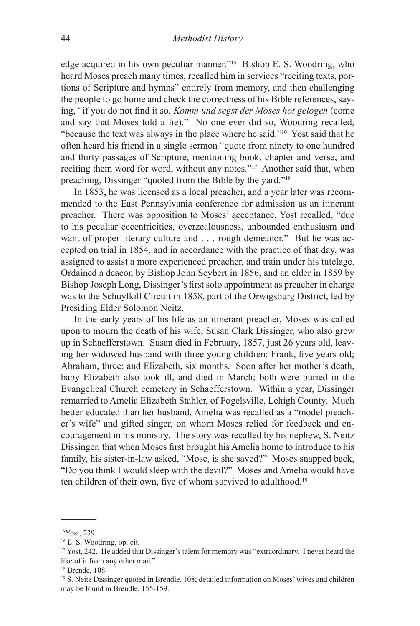edge acquired in his own peculiar manner."15 Bishop E. S. Woodring, who heard Moses preach many times, recalled him in services "reciting texts, portions of Scripture and hymns" entirely from memory, and then challenging the people to go home and check the correctness of his Bible references, saying, "if you do not find it so, *Komm und segst der Moses hot gelogen* (come and say that Moses told a lie)." No one ever did so, Woodring recalled, "because the text was always in the place where he said."16 Yost said that he often heard his friend in a single sermon "quote from ninety to one hundred and thirty passages of Scripture, mentioning book, chapter and verse, and reciting them word for word, without any notes."17 Another said that, when preaching, Dissinger "quoted from the Bible by the yard."18

In 1853, he was licensed as a local preacher, and a year later was recommended to the East Pennsylvania conference for admission as an itinerant preacher. There was opposition to Moses' acceptance, Yost recalled, "due to his peculiar eccentricities, overzealousness, unbounded enthusiasm and want of proper literary culture and . . . rough demeanor." But he was accepted on trial in 1854, and in accordance with the practice of that day, was assigned to assist a more experienced preacher, and train under his tutelage. Ordained a deacon by Bishop John Seybert in 1856, and an elder in 1859 by Bishop Joseph Long, Dissinger's first solo appointment as preacher in charge was to the Schuylkill Circuit in 1858, part of the Orwigsburg District, led by Presiding Elder Solomon Neitz.

In the early years of his life as an itinerant preacher, Moses was called upon to mourn the death of his wife, Susan Clark Dissinger, who also grew up in Schaefferstown. Susan died in February, 1857, just 26 years old, leaving her widowed husband with three young children: Frank, five years old; Abraham, three; and Elizabeth, six months. Soon after her mother's death, baby Elizabeth also took ill, and died in March; both were buried in the Evangelical Church cemetery in Schaefferstown. Within a year, Dissinger remarried to Amelia Elizabeth Stahler, of Fogelsville, Lehigh County. Much better educated than her husband, Amelia was recalled as a "model preacher's wife" and gifted singer, on whom Moses relied for feedback and encouragement in his ministry. The story was recalled by his nephew, S. Neitz Dissinger, that when Moses first brought his Amelia home to introduce to his family, his sister-in-law asked, "Mose, is she saved?" Moses snapped back, "Do you think I would sleep with the devil?" Moses and Amelia would have ten children of their own, five of whom survived to adulthood.<sup>19</sup>

<sup>15</sup>Yost, 239.

<sup>16</sup> E. S. Woodring, op. cit.

<sup>&</sup>lt;sup>17</sup> Yost, 242. He added that Dissinger's talent for memory was "extraordinary. I never heard the like of it from any other man."

<sup>18</sup> Brende, 108.

<sup>19</sup> S. Neitz Dissinger quoted in Brendle, 108; detailed information on Moses' wives and children may be found in Brendle, 155-159.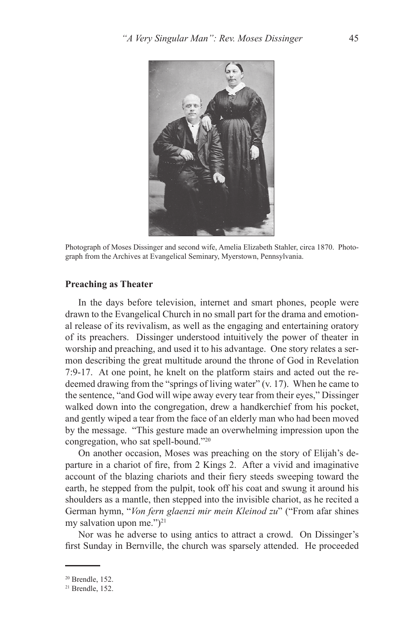

Photograph of Moses Dissinger and second wife, Amelia Elizabeth Stahler, circa 1870. Photograph from the Archives at Evangelical Seminary, Myerstown, Pennsylvania.

#### **Preaching as Theater**

In the days before television, internet and smart phones, people were drawn to the Evangelical Church in no small part for the drama and emotional release of its revivalism, as well as the engaging and entertaining oratory of its preachers. Dissinger understood intuitively the power of theater in worship and preaching, and used it to his advantage. One story relates a sermon describing the great multitude around the throne of God in Revelation 7:9-17. At one point, he knelt on the platform stairs and acted out the redeemed drawing from the "springs of living water" (v. 17). When he came to the sentence, "and God will wipe away every tear from their eyes," Dissinger walked down into the congregation, drew a handkerchief from his pocket, and gently wiped a tear from the face of an elderly man who had been moved by the message. "This gesture made an overwhelming impression upon the congregation, who sat spell-bound."20

On another occasion, Moses was preaching on the story of Elijah's departure in a chariot of fire, from 2 Kings 2. After a vivid and imaginative account of the blazing chariots and their fiery steeds sweeping toward the earth, he stepped from the pulpit, took off his coat and swung it around his shoulders as a mantle, then stepped into the invisible chariot, as he recited a German hymn, "*Von fern glaenzi mir mein Kleinod zu*" ("From afar shines my salvation upon me." $)^{21}$ 

Nor was he adverse to using antics to attract a crowd. On Dissinger's first Sunday in Bernville, the church was sparsely attended. He proceeded

<sup>20</sup> Brendle, 152.

 $21$  Brendle, 152.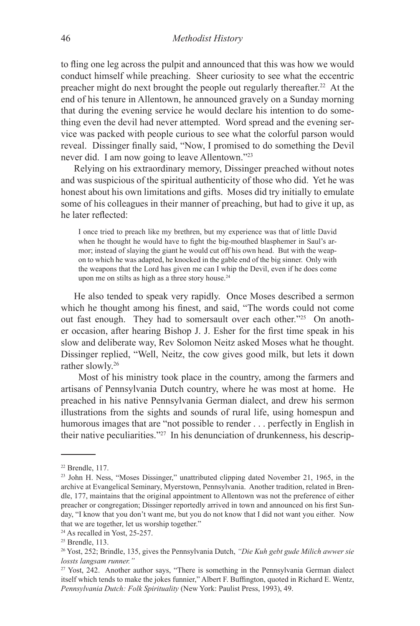to fling one leg across the pulpit and announced that this was how we would conduct himself while preaching. Sheer curiosity to see what the eccentric preacher might do next brought the people out regularly thereafter.22 At the end of his tenure in Allentown, he announced gravely on a Sunday morning that during the evening service he would declare his intention to do something even the devil had never attempted. Word spread and the evening service was packed with people curious to see what the colorful parson would reveal. Dissinger finally said, "Now, I promised to do something the Devil never did. I am now going to leave Allentown."23

Relying on his extraordinary memory, Dissinger preached without notes and was suspicious of the spiritual authenticity of those who did. Yet he was honest about his own limitations and gifts. Moses did try initially to emulate some of his colleagues in their manner of preaching, but had to give it up, as he later reflected:

I once tried to preach like my brethren, but my experience was that of little David when he thought he would have to fight the big-mouthed blasphemer in Saul's armor; instead of slaying the giant he would cut off his own head. But with the weapon to which he was adapted, he knocked in the gable end of the big sinner. Only with the weapons that the Lord has given me can I whip the Devil, even if he does come upon me on stilts as high as a three story house.<sup>24</sup>

He also tended to speak very rapidly. Once Moses described a sermon which he thought among his finest, and said, "The words could not come out fast enough. They had to somersault over each other."25 On another occasion, after hearing Bishop J. J. Esher for the first time speak in his slow and deliberate way, Rev Solomon Neitz asked Moses what he thought. Dissinger replied, "Well, Neitz, the cow gives good milk, but lets it down rather slowly.26

Most of his ministry took place in the country, among the farmers and artisans of Pennsylvania Dutch country, where he was most at home. He preached in his native Pennsylvania German dialect, and drew his sermon illustrations from the sights and sounds of rural life, using homespun and humorous images that are "not possible to render . . . perfectly in English in their native peculiarities."27 In his denunciation of drunkenness, his descrip-

<sup>22</sup> Brendle, 117.

<sup>23</sup> John H. Ness, "Moses Dissinger," unattributed clipping dated November 21, 1965, in the archive at Evangelical Seminary, Myerstown, Pennsylvania. Another tradition, related in Brendle, 177, maintains that the original appointment to Allentown was not the preference of either preacher or congregation; Dissinger reportedly arrived in town and announced on his first Sunday, "I know that you don't want me, but you do not know that I did not want you either. Now that we are together, let us worship together."

<sup>&</sup>lt;sup>24</sup> As recalled in Yost, 25-257.

<sup>25</sup> Brendle, 113.

<sup>26</sup> Yost, 252; Brindle, 135, gives the Pennsylvania Dutch, *"Die Kuh gebt gude Milich awwer sie lossts langsam runner."*

<sup>&</sup>lt;sup>27</sup> Yost, 242. Another author says, "There is something in the Pennsylvania German dialect itself which tends to make the jokes funnier," Albert F. Buffington, quoted in Richard E. Wentz, *Pennsylvania Dutch: Folk Spirituality* (New York: Paulist Press, 1993), 49.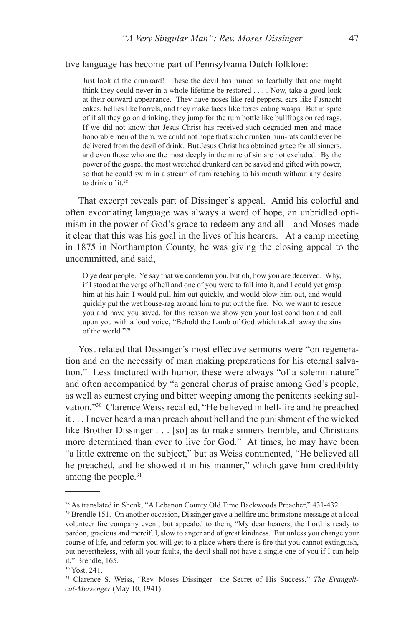#### tive language has become part of Pennsylvania Dutch folklore:

Just look at the drunkard! These the devil has ruined so fearfully that one might think they could never in a whole lifetime be restored . . . . Now, take a good look at their outward appearance. They have noses like red peppers, ears like Fasnacht cakes, bellies like barrels, and they make faces like foxes eating wasps. But in spite of if all they go on drinking, they jump for the rum bottle like bullfrogs on red rags. If we did not know that Jesus Christ has received such degraded men and made honorable men of them, we could not hope that such drunken rum-rats could ever be delivered from the devil of drink. But Jesus Christ has obtained grace for all sinners, and even those who are the most deeply in the mire of sin are not excluded. By the power of the gospel the most wretched drunkard can be saved and gifted with power, so that he could swim in a stream of rum reaching to his mouth without any desire to drink of it.<sup>28</sup>

That excerpt reveals part of Dissinger's appeal. Amid his colorful and often excoriating language was always a word of hope, an unbridled optimism in the power of God's grace to redeem any and all—and Moses made it clear that this was his goal in the lives of his hearers. At a camp meeting in 1875 in Northampton County, he was giving the closing appeal to the uncommitted, and said,

O ye dear people. Ye say that we condemn you, but oh, how you are deceived. Why, if I stood at the verge of hell and one of you were to fall into it, and I could yet grasp him at his hair, I would pull him out quickly, and would blow him out, and would quickly put the wet house-rag around him to put out the fire. No, we want to rescue you and have you saved, for this reason we show you your lost condition and call upon you with a loud voice, "Behold the Lamb of God which taketh away the sins of the world."29

Yost related that Dissinger's most effective sermons were "on regeneration and on the necessity of man making preparations for his eternal salvation." Less tinctured with humor, these were always "of a solemn nature" and often accompanied by "a general chorus of praise among God's people, as well as earnest crying and bitter weeping among the penitents seeking salvation."30 Clarence Weiss recalled, "He believed in hell-fire and he preached it . . . I never heard a man preach about hell and the punishment of the wicked like Brother Dissinger . . . [so] as to make sinners tremble, and Christians more determined than ever to live for God." At times, he may have been "a little extreme on the subject," but as Weiss commented, "He believed all he preached, and he showed it in his manner," which gave him credibility among the people.<sup>31</sup>

<sup>&</sup>lt;sup>28</sup> As translated in Shenk, "A Lebanon County Old Time Backwoods Preacher," 431-432.

<sup>29</sup> Brendle 151. On another occasion, Dissinger gave a hellfire and brimstone message at a local volunteer fire company event, but appealed to them, "My dear hearers, the Lord is ready to pardon, gracious and merciful, slow to anger and of great kindness. But unless you change your course of life, and reform you will get to a place where there is fire that you cannot extinguish, but nevertheless, with all your faults, the devil shall not have a single one of you if I can help it," Brendle, 165.

<sup>30</sup> Yost, 241.

<sup>31</sup> Clarence S. Weiss, "Rev. Moses Dissinger—the Secret of His Success," *The Evangelical-Messenger* (May 10, 1941).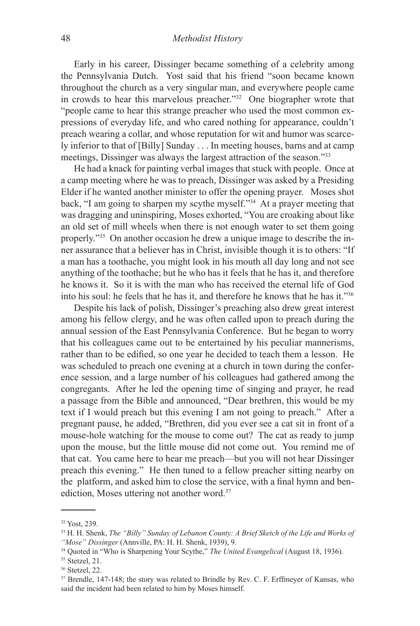Early in his career, Dissinger became something of a celebrity among the Pennsylvania Dutch. Yost said that his friend "soon became known throughout the church as a very singular man, and everywhere people came in crowds to hear this marvelous preacher."32 One biographer wrote that "people came to hear this strange preacher who used the most common expressions of everyday life, and who cared nothing for appearance, couldn't preach wearing a collar, and whose reputation for wit and humor was scarcely inferior to that of [Billy] Sunday . . . In meeting houses, barns and at camp meetings, Dissinger was always the largest attraction of the season."33

He had a knack for painting verbal images that stuck with people. Once at a camp meeting where he was to preach, Dissinger was asked by a Presiding Elder if he wanted another minister to offer the opening prayer. Moses shot back, "I am going to sharpen my scythe myself."34 At a prayer meeting that was dragging and uninspiring, Moses exhorted, "You are croaking about like an old set of mill wheels when there is not enough water to set them going properly."35 On another occasion he drew a unique image to describe the inner assurance that a believer has in Christ, invisible though it is to others: "If a man has a toothache, you might look in his mouth all day long and not see anything of the toothache; but he who has it feels that he has it, and therefore he knows it. So it is with the man who has received the eternal life of God into his soul: he feels that he has it, and therefore he knows that he has it."36

Despite his lack of polish, Dissinger's preaching also drew great interest among his fellow clergy, and he was often called upon to preach during the annual session of the East Pennsylvania Conference. But he began to worry that his colleagues came out to be entertained by his peculiar mannerisms, rather than to be edified, so one year he decided to teach them a lesson. He was scheduled to preach one evening at a church in town during the conference session, and a large number of his colleagues had gathered among the congregants. After he led the opening time of singing and prayer, he read a passage from the Bible and announced, "Dear brethren, this would be my text if I would preach but this evening I am not going to preach." After a pregnant pause, he added, "Brethren, did you ever see a cat sit in front of a mouse-hole watching for the mouse to come out? The cat as ready to jump upon the mouse, but the little mouse did not come out. You remind me of that cat. You came here to hear me preach—but you will not hear Dissinger preach this evening." He then tuned to a fellow preacher sitting nearby on the platform, and asked him to close the service, with a final hymn and benediction, Moses uttering not another word.37

<sup>32</sup> Yost, 239.

<sup>33</sup> H. H. Shenk, *The "Billy" Sunday of Lebanon County: A Brief Sketch of the Life and Works of "Mose" Dissinger* (Annville, PA: H. H. Shenk, 1939), 9.

<sup>34</sup> Quoted in "Who is Sharpening Your Scythe," *The United Evangelical* (August 18, 1936).

<sup>35</sup> Stetzel, 21.

<sup>36</sup> Stetzel, 22.

<sup>&</sup>lt;sup>37</sup> Brendle, 147-148; the story was related to Brindle by Rev. C. F. Erffmeyer of Kansas, who said the incident had been related to him by Moses himself.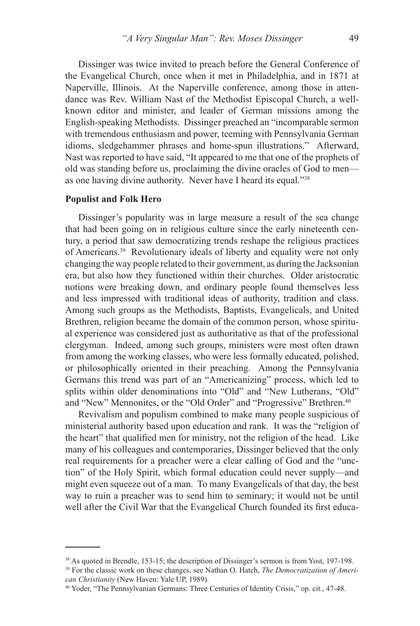Dissinger was twice invited to preach before the General Conference of the Evangelical Church, once when it met in Philadelphia, and in 1871 at Naperville, Illinois. At the Naperville conference, among those in attendance was Rev. William Nast of the Methodist Episcopal Church, a wellknown editor and minister, and leader of German missions among the English-speaking Methodists. Dissinger preached an "incomparable sermon with tremendous enthusiasm and power, teeming with Pennsylvania German idioms, sledgehammer phrases and home-spun illustrations." Afterward, Nast was reported to have said, "It appeared to me that one of the prophets of old was standing before us, proclaiming the divine oracles of God to men as one having divine authority. Never have I heard its equal."38

### **Populist and Folk Hero**

Dissinger's popularity was in large measure a result of the sea change that had been going on in religious culture since the early nineteenth century, a period that saw democratizing trends reshape the religious practices of Americans.39 Revolutionary ideals of liberty and equality were not only changing the way people related to their government, as during the Jacksonian era, but also how they functioned within their churches. Older aristocratic notions were breaking down, and ordinary people found themselves less and less impressed with traditional ideas of authority, tradition and class. Among such groups as the Methodists, Baptists, Evangelicals, and United Brethren, religion became the domain of the common person, whose spiritual experience was considered just as authoritative as that of the professional clergyman. Indeed, among such groups, ministers were most often drawn from among the working classes, who were less formally educated, polished, or philosophically oriented in their preaching. Among the Pennsylvania Germans this trend was part of an "Americanizing" process, which led to splits within older denominations into "Old" and "New Lutherans, "Old" and "New" Mennonites, or the "Old Order" and "Progressive" Brethren.<sup>40</sup>

Revivalism and populism combined to make many people suspicious of ministerial authority based upon education and rank. It was the "religion of the heart" that qualified men for ministry, not the religion of the head. Like many of his colleagues and contemporaries, Dissinger believed that the only real requirements for a preacher were a clear calling of God and the "unction" of the Holy Spirit, which formal education could never supply—and might even squeeze out of a man. To many Evangelicals of that day, the best way to ruin a preacher was to send him to seminary; it would not be until well after the Civil War that the Evangelical Church founded its first educa-

<sup>38</sup> As quoted in Brendle, 153-15; the description of Dissinger's sermon is from Yost, 197-198. 39 For the classic work on these changes, see Nathan O. Hatch, *The Democratization of American Christianity* (New Haven: Yale UP, 1989).<br><sup>40</sup> Yoder, "The Pennsylvanian Germans: Three Centuries of Identity Crisis," op. cit., 47-48.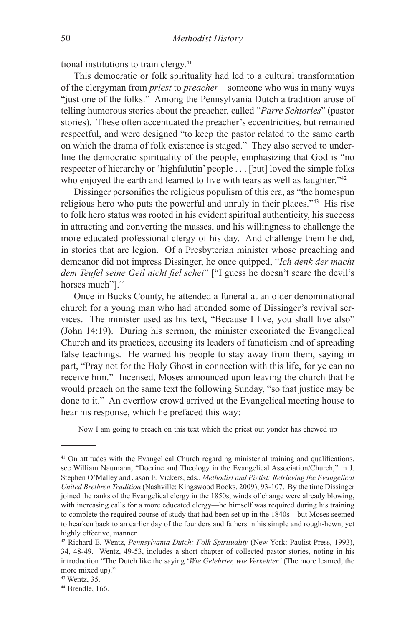tional institutions to train clergy.41

This democratic or folk spirituality had led to a cultural transformation of the clergyman from *priest* to *preacher*—someone who was in many ways "just one of the folks." Among the Pennsylvania Dutch a tradition arose of telling humorous stories about the preacher, called "*Parre Schtories*" (pastor stories). These often accentuated the preacher's eccentricities, but remained respectful, and were designed "to keep the pastor related to the same earth on which the drama of folk existence is staged." They also served to underline the democratic spirituality of the people, emphasizing that God is "no respecter of hierarchy or 'highfalutin' people . . . [but] loved the simple folks who enjoyed the earth and learned to live with tears as well as laughter."<sup>42</sup>

Dissinger personifies the religious populism of this era, as "the homespun religious hero who puts the powerful and unruly in their places."43 His rise to folk hero status was rooted in his evident spiritual authenticity, his success in attracting and converting the masses, and his willingness to challenge the more educated professional clergy of his day. And challenge them he did, in stories that are legion. Of a Presbyterian minister whose preaching and demeanor did not impress Dissinger, he once quipped, "*Ich denk der macht dem Teufel seine Geil nicht fiel schei*" ["I guess he doesn't scare the devil's horses much"].<sup>44</sup>

Once in Bucks County, he attended a funeral at an older denominational church for a young man who had attended some of Dissinger's revival services. The minister used as his text, "Because I live, you shall live also" (John 14:19). During his sermon, the minister excoriated the Evangelical Church and its practices, accusing its leaders of fanaticism and of spreading false teachings. He warned his people to stay away from them, saying in part, "Pray not for the Holy Ghost in connection with this life, for ye can no receive him." Incensed, Moses announced upon leaving the church that he would preach on the same text the following Sunday, "so that justice may be done to it." An overflow crowd arrived at the Evangelical meeting house to hear his response, which he prefaced this way:

Now I am going to preach on this text which the priest out yonder has chewed up

<sup>&</sup>lt;sup>41</sup> On attitudes with the Evangelical Church regarding ministerial training and qualifications, see William Naumann, "Docrine and Theology in the Evangelical Association/Church," in J. Stephen O'Malley and Jason E. Vickers, eds., *Methodist and Pietist: Retrieving the Evangelical United Brethren Tradition* (Nashville: Kingswood Books, 2009), 93-107. By the time Dissinger joined the ranks of the Evangelical clergy in the 1850s, winds of change were already blowing, with increasing calls for a more educated clergy—he himself was required during his training to complete the required course of study that had been set up in the 1840s—but Moses seemed to hearken back to an earlier day of the founders and fathers in his simple and rough-hewn, yet highly effective, manner.

<sup>42</sup> Richard E. Wentz, *Pennsylvania Dutch: Folk Spirituality* (New York: Paulist Press, 1993), 34, 48-49. Wentz, 49-53, includes a short chapter of collected pastor stories, noting in his introduction "The Dutch like the saying '*Wie Gelehrter, wie Verkehter'* (The more learned, the more mixed up)."

<sup>43</sup> Wentz, 35.

<sup>44</sup> Brendle, 166.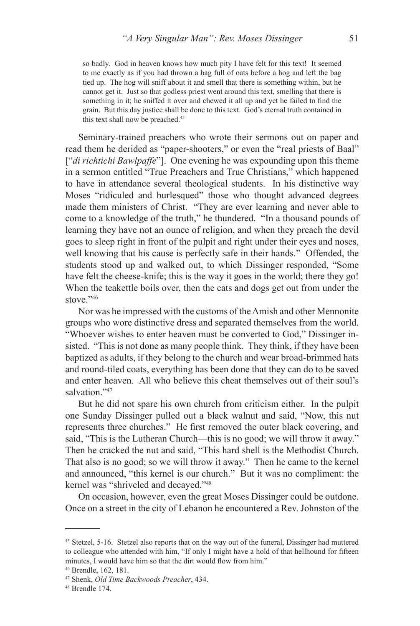so badly. God in heaven knows how much pity I have felt for this text! It seemed to me exactly as if you had thrown a bag full of oats before a hog and left the bag tied up. The hog will sniff about it and smell that there is something within, but he cannot get it. Just so that godless priest went around this text, smelling that there is something in it; he sniffed it over and chewed it all up and yet he failed to find the grain. But this day justice shall be done to this text. God's eternal truth contained in this text shall now be preached.<sup>45</sup>

Seminary-trained preachers who wrote their sermons out on paper and read them he derided as "paper-shooters," or even the "real priests of Baal" ["*di richtichi Bawlpaffe*"]. One evening he was expounding upon this theme in a sermon entitled "True Preachers and True Christians," which happened to have in attendance several theological students. In his distinctive way Moses "ridiculed and burlesqued" those who thought advanced degrees made them ministers of Christ. "They are ever learning and never able to come to a knowledge of the truth," he thundered. "In a thousand pounds of learning they have not an ounce of religion, and when they preach the devil goes to sleep right in front of the pulpit and right under their eyes and noses, well knowing that his cause is perfectly safe in their hands." Offended, the students stood up and walked out, to which Dissinger responded, "Some have felt the cheese-knife; this is the way it goes in the world; there they go! When the teakettle boils over, then the cats and dogs get out from under the stove."46

Nor was he impressed with the customs of the Amish and other Mennonite groups who wore distinctive dress and separated themselves from the world. "Whoever wishes to enter heaven must be converted to God," Dissinger insisted. "This is not done as many people think. They think, if they have been baptized as adults, if they belong to the church and wear broad-brimmed hats and round-tiled coats, everything has been done that they can do to be saved and enter heaven. All who believe this cheat themselves out of their soul's salvation<sup>"47</sup>

But he did not spare his own church from criticism either. In the pulpit one Sunday Dissinger pulled out a black walnut and said, "Now, this nut represents three churches." He first removed the outer black covering, and said, "This is the Lutheran Church—this is no good; we will throw it away." Then he cracked the nut and said, "This hard shell is the Methodist Church. That also is no good; so we will throw it away." Then he came to the kernel and announced, "this kernel is our church." But it was no compliment: the kernel was "shriveled and decayed."48

On occasion, however, even the great Moses Dissinger could be outdone. Once on a street in the city of Lebanon he encountered a Rev. Johnston of the

<sup>45</sup> Stetzel, 5-16. Stetzel also reports that on the way out of the funeral, Dissinger had muttered to colleague who attended with him, "If only I might have a hold of that hellhound for fifteen minutes, I would have him so that the dirt would flow from him."

<sup>46</sup> Brendle, 162, 181.

<sup>47</sup> Shenk, *Old Time Backwoods Preacher*, 434.

<sup>48</sup> Brendle 174.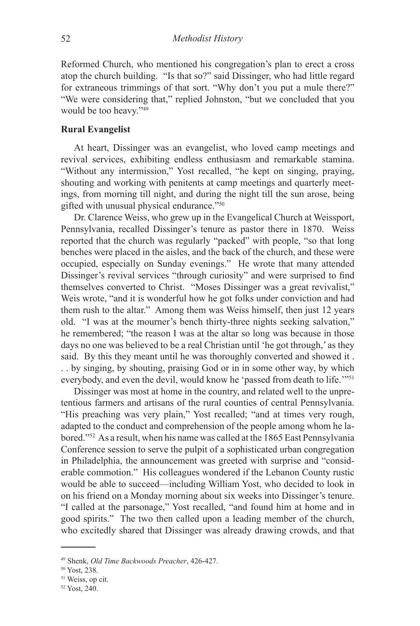Reformed Church, who mentioned his congregation's plan to erect a cross atop the church building. "Is that so?" said Dissinger, who had little regard for extraneous trimmings of that sort. "Why don't you put a mule there?" "We were considering that," replied Johnston, "but we concluded that you would be too heavy."49

### **Rural Evangelist**

At heart, Dissinger was an evangelist, who loved camp meetings and revival services, exhibiting endless enthusiasm and remarkable stamina. "Without any intermission," Yost recalled, "he kept on singing, praying, shouting and working with penitents at camp meetings and quarterly meetings, from morning till night, and during the night till the sun arose, being gifted with unusual physical endurance."50

Dr. Clarence Weiss, who grew up in the Evangelical Church at Weissport, Pennsylvania, recalled Dissinger's tenure as pastor there in 1870. Weiss reported that the church was regularly "packed" with people, "so that long benches were placed in the aisles, and the back of the church, and these were occupied, especially on Sunday evenings." He wrote that many attended Dissinger's revival services "through curiosity" and were surprised to find themselves converted to Christ. "Moses Dissinger was a great revivalist," Weis wrote, "and it is wonderful how he got folks under conviction and had them rush to the altar." Among them was Weiss himself, then just 12 years old. "I was at the mourner's bench thirty-three nights seeking salvation," he remembered; "the reason I was at the altar so long was because in those days no one was believed to be a real Christian until 'he got through,' as they said. By this they meant until he was thoroughly converted and showed it . . . by singing, by shouting, praising God or in in some other way, by which everybody, and even the devil, would know he 'passed from death to life."<sup>51</sup>

Dissinger was most at home in the country, and related well to the unpretentious farmers and artisans of the rural counties of central Pennsylvania. "His preaching was very plain," Yost recalled; "and at times very rough, adapted to the conduct and comprehension of the people among whom he labored."52 As a result, when his name was called at the 1865 East Pennsylvania Conference session to serve the pulpit of a sophisticated urban congregation in Philadelphia, the announcement was greeted with surprise and "considerable commotion." His colleagues wondered if the Lebanon County rustic would be able to succeed—including William Yost, who decided to look in on his friend on a Monday morning about six weeks into Dissinger's tenure. "I called at the parsonage," Yost recalled, "and found him at home and in good spirits." The two then called upon a leading member of the church, who excitedly shared that Dissinger was already drawing crowds, and that

<sup>49</sup> Shenk, *Old Time Backwoods Preacher*, 426-427.

<sup>50</sup> Yost, 238.

<sup>51</sup> Weiss, op cit.

<sup>52</sup> Yost, 240.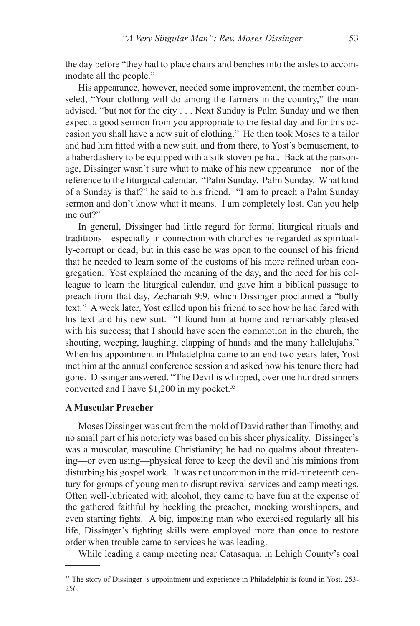the day before "they had to place chairs and benches into the aisles to accommodate all the people."

His appearance, however, needed some improvement, the member counseled, "Your clothing will do among the farmers in the country," the man advised, "but not for the city . . . Next Sunday is Palm Sunday and we then expect a good sermon from you appropriate to the festal day and for this occasion you shall have a new suit of clothing." He then took Moses to a tailor and had him fitted with a new suit, and from there, to Yost's bemusement, to a haberdashery to be equipped with a silk stovepipe hat. Back at the parsonage, Dissinger wasn't sure what to make of his new appearance—nor of the reference to the liturgical calendar. "Palm Sunday. Palm Sunday. What kind of a Sunday is that?" he said to his friend. "I am to preach a Palm Sunday sermon and don't know what it means. I am completely lost. Can you help me out?"

In general, Dissinger had little regard for formal liturgical rituals and traditions—especially in connection with churches he regarded as spiritually-corrupt or dead; but in this case he was open to the counsel of his friend that he needed to learn some of the customs of his more refined urban congregation. Yost explained the meaning of the day, and the need for his colleague to learn the liturgical calendar, and gave him a biblical passage to preach from that day, Zechariah 9:9, which Dissinger proclaimed a "bully text." A week later, Yost called upon his friend to see how he had fared with his text and his new suit. "I found him at home and remarkably pleased with his success; that I should have seen the commotion in the church, the shouting, weeping, laughing, clapping of hands and the many hallelujahs." When his appointment in Philadelphia came to an end two years later, Yost met him at the annual conference session and asked how his tenure there had gone. Dissinger answered, "The Devil is whipped, over one hundred sinners converted and I have \$1,200 in my pocket.<sup>53</sup>

# **A Muscular Preacher**

Moses Dissinger was cut from the mold of David rather than Timothy, and no small part of his notoriety was based on his sheer physicality. Dissinger's was a muscular, masculine Christianity; he had no qualms about threatening—or even using—physical force to keep the devil and his minions from disturbing his gospel work. It was not uncommon in the mid-nineteenth century for groups of young men to disrupt revival services and camp meetings. Often well-lubricated with alcohol, they came to have fun at the expense of the gathered faithful by heckling the preacher, mocking worshippers, and even starting fights. A big, imposing man who exercised regularly all his life, Dissinger's fighting skills were employed more than once to restore order when trouble came to services he was leading.

While leading a camp meeting near Catasaqua, in Lehigh County's coal

<sup>&</sup>lt;sup>53</sup> The story of Dissinger 's appointment and experience in Philadelphia is found in Yost, 253-256.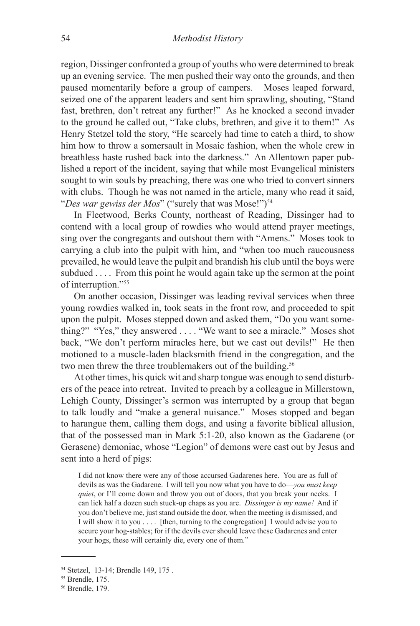region, Dissinger confronted a group of youths who were determined to break up an evening service. The men pushed their way onto the grounds, and then paused momentarily before a group of campers. Moses leaped forward, seized one of the apparent leaders and sent him sprawling, shouting, "Stand fast, brethren, don't retreat any further!" As he knocked a second invader to the ground he called out, "Take clubs, brethren, and give it to them!" As Henry Stetzel told the story, "He scarcely had time to catch a third, to show him how to throw a somersault in Mosaic fashion, when the whole crew in breathless haste rushed back into the darkness." An Allentown paper published a report of the incident, saying that while most Evangelical ministers sought to win souls by preaching, there was one who tried to convert sinners with clubs. Though he was not named in the article, many who read it said, "*Des war gewiss der Mos*" ("surely that was Mose!")<sup>54</sup>

In Fleetwood, Berks County, northeast of Reading, Dissinger had to contend with a local group of rowdies who would attend prayer meetings, sing over the congregants and outshout them with "Amens." Moses took to carrying a club into the pulpit with him, and "when too much raucousness prevailed, he would leave the pulpit and brandish his club until the boys were subdued . . . . From this point he would again take up the sermon at the point of interruption."55

On another occasion, Dissinger was leading revival services when three young rowdies walked in, took seats in the front row, and proceeded to spit upon the pulpit. Moses stepped down and asked them, "Do you want something?" "Yes," they answered . . . . "We want to see a miracle." Moses shot back, "We don't perform miracles here, but we cast out devils!" He then motioned to a muscle-laden blacksmith friend in the congregation, and the two men threw the three troublemakers out of the building.<sup>56</sup>

At other times, his quick wit and sharp tongue was enough to send disturbers of the peace into retreat. Invited to preach by a colleague in Millerstown, Lehigh County, Dissinger's sermon was interrupted by a group that began to talk loudly and "make a general nuisance." Moses stopped and began to harangue them, calling them dogs, and using a favorite biblical allusion, that of the possessed man in Mark 5:1-20, also known as the Gadarene (or Gerasene) demoniac, whose "Legion" of demons were cast out by Jesus and sent into a herd of pigs:

I did not know there were any of those accursed Gadarenes here. You are as full of devils as was the Gadarene. I will tell you now what you have to do—*you must keep quiet*, or I'll come down and throw you out of doors, that you break your necks. I can lick half a dozen such stuck-up chaps as you are. *Dissinger is my name!* And if you don't believe me, just stand outside the door, when the meeting is dismissed, and I will show it to you . . . . [then, turning to the congregation] I would advise you to secure your hog-stables; for if the devils ever should leave these Gadarenes and enter your hogs, these will certainly die, every one of them."

<sup>54</sup> Stetzel, 13-14; Brendle 149, 175 .

<sup>55</sup> Brendle, 175.

<sup>56</sup> Brendle, 179.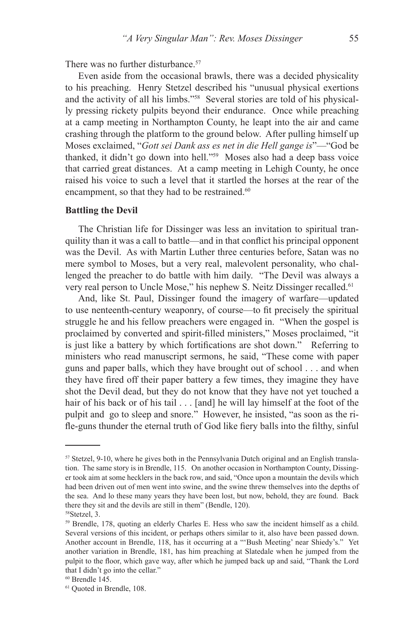There was no further disturbance.<sup>57</sup>

Even aside from the occasional brawls, there was a decided physicality to his preaching. Henry Stetzel described his "unusual physical exertions and the activity of all his limbs."58 Several stories are told of his physically pressing rickety pulpits beyond their endurance. Once while preaching at a camp meeting in Northampton County, he leapt into the air and came crashing through the platform to the ground below. After pulling himself up Moses exclaimed, "*Gott sei Dank ass es net in die Hell gange is*"—"God be thanked, it didn't go down into hell."59 Moses also had a deep bass voice that carried great distances. At a camp meeting in Lehigh County, he once raised his voice to such a level that it startled the horses at the rear of the encampment, so that they had to be restrained.<sup>60</sup>

## **Battling the Devil**

The Christian life for Dissinger was less an invitation to spiritual tranquility than it was a call to battle—and in that conflict his principal opponent was the Devil. As with Martin Luther three centuries before, Satan was no mere symbol to Moses, but a very real, malevolent personality, who challenged the preacher to do battle with him daily. "The Devil was always a very real person to Uncle Mose," his nephew S. Neitz Dissinger recalled.<sup>61</sup>

And, like St. Paul, Dissinger found the imagery of warfare—updated to use nenteenth-century weaponry, of course—to fit precisely the spiritual struggle he and his fellow preachers were engaged in. "When the gospel is proclaimed by converted and spirit-filled ministers," Moses proclaimed, "it is just like a battery by which fortifications are shot down." Referring to ministers who read manuscript sermons, he said, "These come with paper guns and paper balls, which they have brought out of school . . . and when they have fired off their paper battery a few times, they imagine they have shot the Devil dead, but they do not know that they have not yet touched a hair of his back or of his tail . . . [and] he will lay himself at the foot of the pulpit and go to sleep and snore." However, he insisted, "as soon as the rifle-guns thunder the eternal truth of God like fiery balls into the filthy, sinful

 $57$  Stetzel, 9-10, where he gives both in the Pennsylvania Dutch original and an English translation. The same story is in Brendle, 115. On another occasion in Northampton County, Dissinger took aim at some hecklers in the back row, and said, "Once upon a mountain the devils which had been driven out of men went into swine, and the swine threw themselves into the depths of the sea. And lo these many years they have been lost, but now, behold, they are found. Back there they sit and the devils are still in them" (Bendle, 120).

<sup>58</sup>Stetzel, 3.

<sup>59</sup> Brendle, 178, quoting an elderly Charles E. Hess who saw the incident himself as a child. Several versions of this incident, or perhaps others similar to it, also have been passed down. Another account in Brendle, 118, has it occurring at a "'Bush Meeting' near Shiedy's." Yet another variation in Brendle, 181, has him preaching at Slatedale when he jumped from the pulpit to the floor, which gave way, after which he jumped back up and said, "Thank the Lord that I didn't go into the cellar."

 $60$  Brendle 145.

<sup>61</sup> Quoted in Brendle, 108.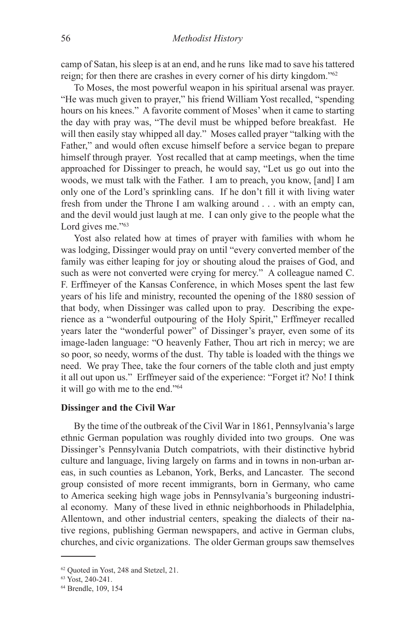camp of Satan, his sleep is at an end, and he runs like mad to save his tattered reign; for then there are crashes in every corner of his dirty kingdom."<sup>62</sup>

To Moses, the most powerful weapon in his spiritual arsenal was prayer. "He was much given to prayer," his friend William Yost recalled, "spending hours on his knees." A favorite comment of Moses' when it came to starting the day with pray was, "The devil must be whipped before breakfast. He will then easily stay whipped all day." Moses called prayer "talking with the Father," and would often excuse himself before a service began to prepare himself through prayer. Yost recalled that at camp meetings, when the time approached for Dissinger to preach, he would say, "Let us go out into the woods, we must talk with the Father. I am to preach, you know, [and] I am only one of the Lord's sprinkling cans. If he don't fill it with living water fresh from under the Throne I am walking around . . . with an empty can, and the devil would just laugh at me. I can only give to the people what the Lord gives me."<sup>63</sup>

Yost also related how at times of prayer with families with whom he was lodging, Dissinger would pray on until "every converted member of the family was either leaping for joy or shouting aloud the praises of God, and such as were not converted were crying for mercy." A colleague named C. F. Erffmeyer of the Kansas Conference, in which Moses spent the last few years of his life and ministry, recounted the opening of the 1880 session of that body, when Dissinger was called upon to pray. Describing the experience as a "wonderful outpouring of the Holy Spirit," Erffmeyer recalled years later the "wonderful power" of Dissinger's prayer, even some of its image-laden language: "O heavenly Father, Thou art rich in mercy; we are so poor, so needy, worms of the dust. Thy table is loaded with the things we need. We pray Thee, take the four corners of the table cloth and just empty it all out upon us." Erffmeyer said of the experience: "Forget it? No! I think it will go with me to the end."64

## **Dissinger and the Civil War**

By the time of the outbreak of the Civil War in 1861, Pennsylvania's large ethnic German population was roughly divided into two groups. One was Dissinger's Pennsylvania Dutch compatriots, with their distinctive hybrid culture and language, living largely on farms and in towns in non-urban areas, in such counties as Lebanon, York, Berks, and Lancaster. The second group consisted of more recent immigrants, born in Germany, who came to America seeking high wage jobs in Pennsylvania's burgeoning industrial economy. Many of these lived in ethnic neighborhoods in Philadelphia, Allentown, and other industrial centers, speaking the dialects of their native regions, publishing German newspapers, and active in German clubs, churches, and civic organizations. The older German groups saw themselves

<sup>62</sup> Quoted in Yost, 248 and Stetzel, 21.

<sup>63</sup> Yost, 240-241.

<sup>64</sup> Brendle, 109, 154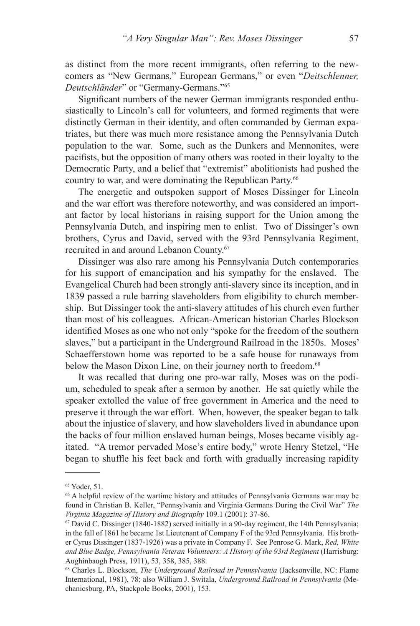as distinct from the more recent immigrants, often referring to the newcomers as "New Germans," European Germans," or even "*Deitschlenner, Deutschländer*" or "Germany-Germans."65

Significant numbers of the newer German immigrants responded enthusiastically to Lincoln's call for volunteers, and formed regiments that were distinctly German in their identity, and often commanded by German expatriates, but there was much more resistance among the Pennsylvania Dutch population to the war. Some, such as the Dunkers and Mennonites, were pacifists, but the opposition of many others was rooted in their loyalty to the Democratic Party, and a belief that "extremist" abolitionists had pushed the country to war, and were dominating the Republican Party.66

The energetic and outspoken support of Moses Dissinger for Lincoln and the war effort was therefore noteworthy, and was considered an important factor by local historians in raising support for the Union among the Pennsylvania Dutch, and inspiring men to enlist. Two of Dissinger's own brothers, Cyrus and David, served with the 93rd Pennsylvania Regiment, recruited in and around Lebanon County.67

Dissinger was also rare among his Pennsylvania Dutch contemporaries for his support of emancipation and his sympathy for the enslaved. The Evangelical Church had been strongly anti-slavery since its inception, and in 1839 passed a rule barring slaveholders from eligibility to church membership. But Dissinger took the anti-slavery attitudes of his church even further than most of his colleagues. African-American historian Charles Blockson identified Moses as one who not only "spoke for the freedom of the southern slaves," but a participant in the Underground Railroad in the 1850s. Moses' Schaefferstown home was reported to be a safe house for runaways from below the Mason Dixon Line, on their journey north to freedom.<sup>68</sup>

It was recalled that during one pro-war rally, Moses was on the podium, scheduled to speak after a sermon by another. He sat quietly while the speaker extolled the value of free government in America and the need to preserve it through the war effort. When, however, the speaker began to talk about the injustice of slavery, and how slaveholders lived in abundance upon the backs of four million enslaved human beings, Moses became visibly agitated. "A tremor pervaded Mose's entire body," wrote Henry Stetzel, "He began to shuffle his feet back and forth with gradually increasing rapidity

<sup>65</sup> Yoder, 51.

<sup>66</sup> A helpful review of the wartime history and attitudes of Pennsylvania Germans war may be found in Christian B. Keller, "Pennsylvania and Virginia Germans During the Civil War" *The Virginia Magazine of History and Biography 109.1 (2001): 37-86.* 67 David C. Dissinger (1840-1882) served initially in a 90-day regiment, the 14th Pennsylvania;

in the fall of 1861 he became 1st Lieutenant of Company F of the 93rd Pennsylvania. His brother Cyrus Dissinger (1837-1926) was a private in Company F. See Penrose G. Mark, *Red, White*  and Blue Badge, Pennsylvania Veteran Volunteers: A History of the 93rd Regiment (Harrisburg: Aughinbaugh Press, 1911), 53, 358, 385, 388.

<sup>68</sup> Charles L. Blockson, *The Underground Railroad in Pennsylvania* (Jacksonville, NC: Flame International, 1981), 78; also William J. Switala, *Underground Railroad in Pennsylvania* (Mechanicsburg, PA, Stackpole Books, 2001), 153.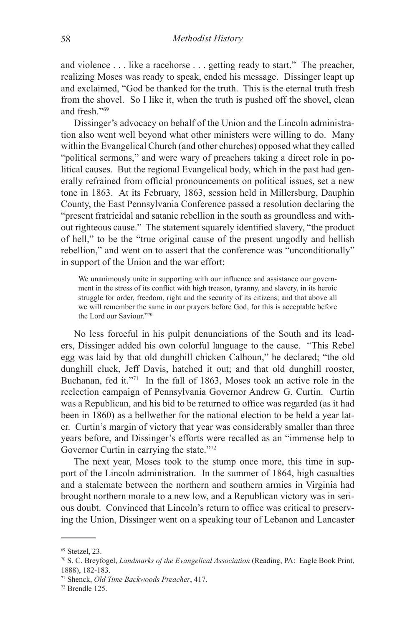and violence . . . like a racehorse . . . getting ready to start." The preacher, realizing Moses was ready to speak, ended his message. Dissinger leapt up and exclaimed, "God be thanked for the truth. This is the eternal truth fresh from the shovel. So I like it, when the truth is pushed off the shovel, clean and fresh."69

Dissinger's advocacy on behalf of the Union and the Lincoln administration also went well beyond what other ministers were willing to do. Many within the Evangelical Church (and other churches) opposed what they called "political sermons," and were wary of preachers taking a direct role in political causes. But the regional Evangelical body, which in the past had generally refrained from official pronouncements on political issues, set a new tone in 1863. At its February, 1863, session held in Millersburg, Dauphin County, the East Pennsylvania Conference passed a resolution declaring the "present fratricidal and satanic rebellion in the south as groundless and without righteous cause." The statement squarely identified slavery, "the product of hell," to be the "true original cause of the present ungodly and hellish rebellion," and went on to assert that the conference was "unconditionally" in support of the Union and the war effort:

We unanimously unite in supporting with our influence and assistance our government in the stress of its conflict with high treason, tyranny, and slavery, in its heroic struggle for order, freedom, right and the security of its citizens; and that above all we will remember the same in our prayers before God, for this is acceptable before the Lord our Saviour."70

No less forceful in his pulpit denunciations of the South and its leaders, Dissinger added his own colorful language to the cause. "This Rebel egg was laid by that old dunghill chicken Calhoun," he declared; "the old dunghill cluck, Jeff Davis, hatched it out; and that old dunghill rooster, Buchanan, fed it."<sup>71</sup> In the fall of 1863, Moses took an active role in the reelection campaign of Pennsylvania Governor Andrew G. Curtin. Curtin was a Republican, and his bid to be returned to office was regarded (as it had been in 1860) as a bellwether for the national election to be held a year later. Curtin's margin of victory that year was considerably smaller than three years before, and Dissinger's efforts were recalled as an "immense help to Governor Curtin in carrying the state."<sup>72</sup>

The next year, Moses took to the stump once more, this time in support of the Lincoln administration. In the summer of 1864, high casualties and a stalemate between the northern and southern armies in Virginia had brought northern morale to a new low, and a Republican victory was in serious doubt. Convinced that Lincoln's return to office was critical to preserving the Union, Dissinger went on a speaking tour of Lebanon and Lancaster

 $69$  Stetzel, 23.

<sup>70</sup> S. C. Breyfogel, *Landmarks of the Evangelical Association* (Reading, PA: Eagle Book Print, 1888), 182-183.

<sup>71</sup> Shenck, *Old Time Backwoods Preacher*, 417.

<sup>72</sup> Brendle 125.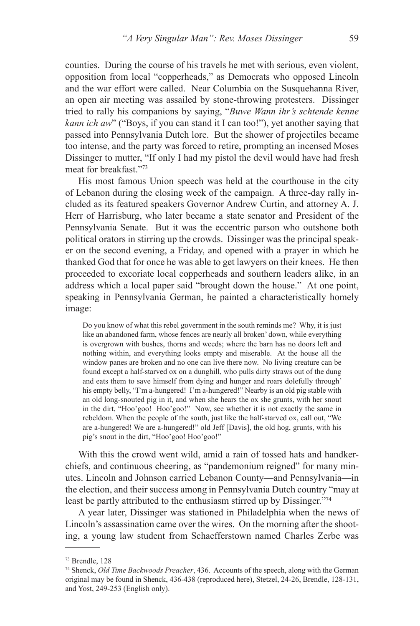counties. During the course of his travels he met with serious, even violent, opposition from local "copperheads," as Democrats who opposed Lincoln and the war effort were called. Near Columbia on the Susquehanna River, an open air meeting was assailed by stone-throwing protesters. Dissinger tried to rally his companions by saying, "*Buwe Wann ihr's schtende kenne kann ich aw*" ("Boys, if you can stand it I can too!"), yet another saying that passed into Pennsylvania Dutch lore. But the shower of projectiles became too intense, and the party was forced to retire, prompting an incensed Moses Dissinger to mutter, "If only I had my pistol the devil would have had fresh meat for breakfast."<sup>73</sup>

His most famous Union speech was held at the courthouse in the city of Lebanon during the closing week of the campaign. A three-day rally included as its featured speakers Governor Andrew Curtin, and attorney A. J. Herr of Harrisburg, who later became a state senator and President of the Pennsylvania Senate. But it was the eccentric parson who outshone both political orators in stirring up the crowds. Dissinger was the principal speaker on the second evening, a Friday, and opened with a prayer in which he thanked God that for once he was able to get lawyers on their knees. He then proceeded to excoriate local copperheads and southern leaders alike, in an address which a local paper said "brought down the house." At one point, speaking in Pennsylvania German, he painted a characteristically homely image:

Do you know of what this rebel government in the south reminds me? Why, it is just like an abandoned farm, whose fences are nearly all broken' down, while everything is overgrown with bushes, thorns and weeds; where the barn has no doors left and nothing within, and everything looks empty and miserable. At the house all the window panes are broken and no one can live there now. No living creature can be found except a half-starved ox on a dunghill, who pulls dirty straws out of the dung and eats them to save himself from dying and hunger and roars dolefully through' his empty belly, "I'm a-hungered! I'm a-hungered!" Nearby is an old pig stable with an old long-snouted pig in it, and when she hears the ox she grunts, with her snout in the dirt, "Hoo'goo! Hoo'goo!" Now, see whether it is not exactly the same in rebeldom. When the people of the south, just like the half-starved ox, call out, "We are a-hungered! We are a-hungered!" old Jeff [Davis], the old hog, grunts, with his pig's snout in the dirt, "Hoo'goo! Hoo'goo!"

With this the crowd went wild, amid a rain of tossed hats and handkerchiefs, and continuous cheering, as "pandemonium reigned" for many minutes. Lincoln and Johnson carried Lebanon County—and Pennsylvania—in the election, and their success among in Pennsylvania Dutch country "may at least be partly attributed to the enthusiasm stirred up by Dissinger."74

A year later, Dissinger was stationed in Philadelphia when the news of Lincoln's assassination came over the wires. On the morning after the shooting, a young law student from Schaefferstown named Charles Zerbe was

<sup>73</sup> Brendle, 128

<sup>74</sup> Shenck, *Old Time Backwoods Preacher*, 436. Accounts of the speech, along with the German original may be found in Shenck, 436-438 (reproduced here), Stetzel, 24-26, Brendle, 128-131, and Yost, 249-253 (English only).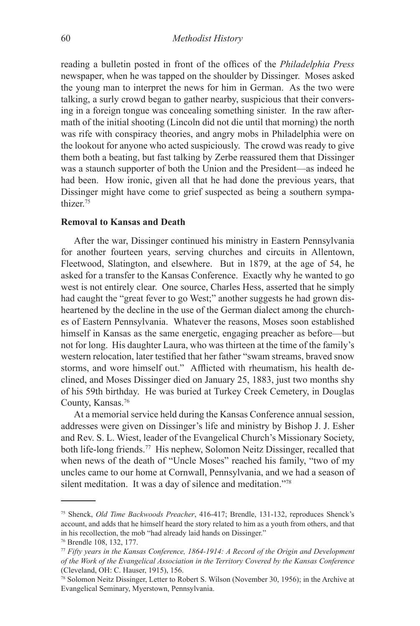reading a bulletin posted in front of the offices of the *Philadelphia Press* newspaper, when he was tapped on the shoulder by Dissinger. Moses asked the young man to interpret the news for him in German. As the two were talking, a surly crowd began to gather nearby, suspicious that their conversing in a foreign tongue was concealing something sinister. In the raw aftermath of the initial shooting (Lincoln did not die until that morning) the north was rife with conspiracy theories, and angry mobs in Philadelphia were on the lookout for anyone who acted suspiciously. The crowd was ready to give them both a beating, but fast talking by Zerbe reassured them that Dissinger was a staunch supporter of both the Union and the President—as indeed he had been. How ironic, given all that he had done the previous years, that Dissinger might have come to grief suspected as being a southern sympathizer<sup>75</sup>

# **Removal to Kansas and Death**

After the war, Dissinger continued his ministry in Eastern Pennsylvania for another fourteen years, serving churches and circuits in Allentown, Fleetwood, Slatington, and elsewhere. But in 1879, at the age of 54, he asked for a transfer to the Kansas Conference. Exactly why he wanted to go west is not entirely clear. One source, Charles Hess, asserted that he simply had caught the "great fever to go West;" another suggests he had grown disheartened by the decline in the use of the German dialect among the churches of Eastern Pennsylvania. Whatever the reasons, Moses soon established himself in Kansas as the same energetic, engaging preacher as before—but not for long. His daughter Laura, who was thirteen at the time of the family's western relocation, later testified that her father "swam streams, braved snow storms, and wore himself out." Afflicted with rheumatism, his health declined, and Moses Dissinger died on January 25, 1883, just two months shy of his 59th birthday. He was buried at Turkey Creek Cemetery, in Douglas County, Kansas.76

At a memorial service held during the Kansas Conference annual session, addresses were given on Dissinger's life and ministry by Bishop J. J. Esher and Rev. S. L. Wiest, leader of the Evangelical Church's Missionary Society, both life-long friends.77 His nephew, Solomon Neitz Dissinger, recalled that when news of the death of "Uncle Moses" reached his family, "two of my uncles came to our home at Cornwall, Pennsylvania, and we had a season of silent meditation. It was a day of silence and meditation."78

<sup>75</sup> Shenck, *Old Time Backwoods Preacher*, 416-417; Brendle, 131-132, reproduces Shenck's account, and adds that he himself heard the story related to him as a youth from others, and that in his recollection, the mob "had already laid hands on Dissinger."

<sup>76</sup> Brendle 108, 132, 177.

<sup>77</sup> *Fifty years in the Kansas Conference, 1864-1914: A Record of the Origin and Development of the Work of the Evangelical Association in the Territory Covered by the Kansas Conference*  (Cleveland, OH: C. Hauser, 1915), 156.

<sup>78</sup> Solomon Neitz Dissinger, Letter to Robert S. Wilson (November 30, 1956); in the Archive at Evangelical Seminary, Myerstown, Pennsylvania.